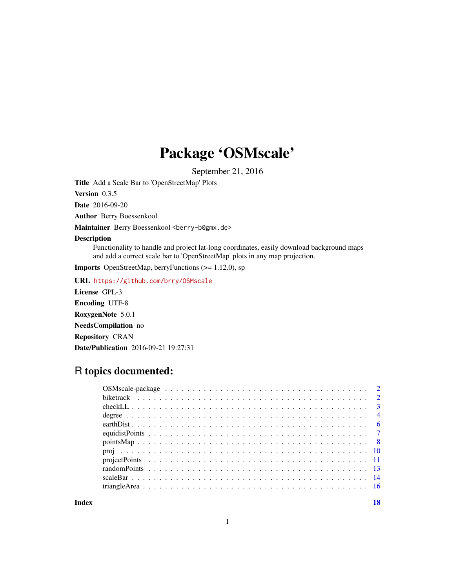## Package 'OSMscale'

September 21, 2016

<span id="page-0-0"></span>Title Add a Scale Bar to 'OpenStreetMap' Plots

Version 0.3.5

Date 2016-09-20

Author Berry Boessenkool

Maintainer Berry Boessenkool <br/>berry-b@gmx.de>

#### Description

Functionality to handle and project lat-long coordinates, easily download background maps and add a correct scale bar to 'OpenStreetMap' plots in any map projection.

Imports OpenStreetMap, berryFunctions (>= 1.12.0), sp

URL <https://github.com/brry/OSMscale>

License GPL-3 Encoding UTF-8 RoxygenNote 5.0.1 NeedsCompilation no Repository CRAN Date/Publication 2016-09-21 19:27:31

## R topics documented:

**Index** 2008 **[18](#page-17-0)**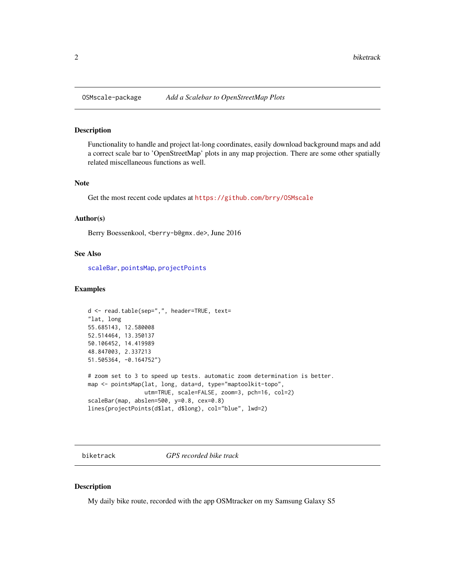<span id="page-1-0"></span>

## Description

Functionality to handle and project lat-long coordinates, easily download background maps and add a correct scale bar to 'OpenStreetMap' plots in any map projection. There are some other spatially related miscellaneous functions as well.

#### Note

Get the most recent code updates at <https://github.com/brry/OSMscale>

#### Author(s)

Berry Boessenkool, <berry-b@gmx.de>, June 2016

## See Also

[scaleBar](#page-13-1), [pointsMap](#page-7-1), [projectPoints](#page-10-1)

#### Examples

```
d <- read.table(sep=",", header=TRUE, text=
"lat, long
55.685143, 12.580008
52.514464, 13.350137
50.106452, 14.419989
48.847003, 2.337213
51.505364, -0.164752")
# zoom set to 3 to speed up tests. automatic zoom determination is better.
map <- pointsMap(lat, long, data=d, type="maptoolkit-topo",
                 utm=TRUE, scale=FALSE, zoom=3, pch=16, col=2)
scaleBar(map, abslen=500, y=0.8, cex=0.8)
lines(projectPoints(d$lat, d$long), col="blue", lwd=2)
```
biketrack *GPS recorded bike track*

## Description

My daily bike route, recorded with the app OSMtracker on my Samsung Galaxy S5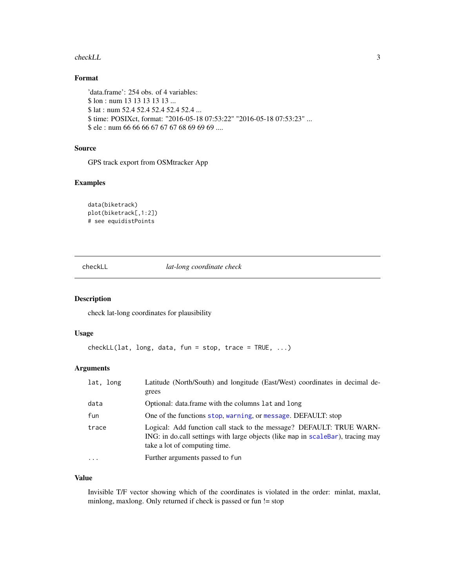#### <span id="page-2-0"></span>checkLL 3

## Format

'data.frame': 254 obs. of 4 variables: \$ lon : num 13 13 13 13 13 ... \$ lat : num 52.4 52.4 52.4 52.4 52.4 ... \$ time: POSIXct, format: "2016-05-18 07:53:22" "2016-05-18 07:53:23" ... \$ ele : num 66 66 66 67 67 67 68 69 69 69 ....

#### Source

GPS track export from OSMtracker App

## Examples

```
data(biketrack)
plot(biketrack[,1:2])
# see equidistPoints
```
#### <span id="page-2-1"></span>checkLL *lat-long coordinate check*

## Description

check lat-long coordinates for plausibility

## Usage

```
checkLL(lat, long, data, fun = stop, trace = TRUE, ...)
```
## Arguments

| lat, long | Latitude (North/South) and longitude (East/West) coordinates in decimal de-<br>grees                                                                                                     |
|-----------|------------------------------------------------------------------------------------------------------------------------------------------------------------------------------------------|
| data      | Optional: data.frame with the columns lat and long                                                                                                                                       |
| fun       | One of the functions stop, warning, or message. DEFAULT: stop                                                                                                                            |
| trace     | Logical: Add function call stack to the message? DEFAULT: TRUE WARN-<br>ING: in do.call settings with large objects (like map in scaleBar), tracing may<br>take a lot of computing time. |
| .         | Further arguments passed to fun                                                                                                                                                          |

## Value

Invisible T/F vector showing which of the coordinates is violated in the order: minlat, maxlat, minlong, maxlong. Only returned if check is passed or fun != stop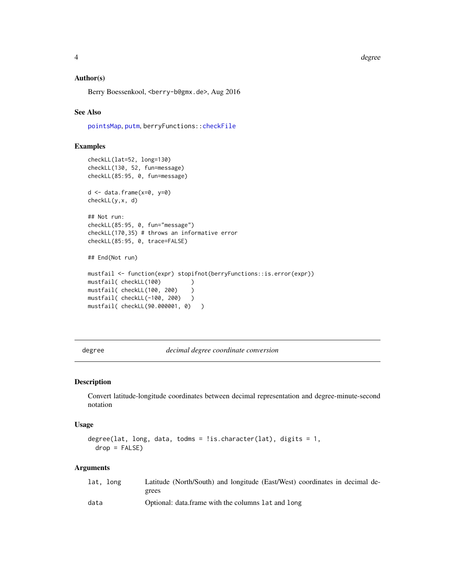<span id="page-3-0"></span>degree to the control of the control of the control of the control of the control of the control of the control of the control of the control of the control of the control of the control of the control of the control of th

#### Author(s)

Berry Boessenkool, <berry-b@gmx.de>, Aug 2016

## See Also

[pointsMap](#page-7-1), [putm](#page-9-1), berryFunctions:[:checkFile](#page-0-0)

## Examples

```
checkLL(lat=52, long=130)
checkLL(130, 52, fun=message)
checkLL(85:95, 0, fun=message)
d \leftarrow data . frame(x=0, y=0)checkLL(y,x, d)
## Not run:
checkLL(85:95, 0, fun="message")
checkLL(170,35) # throws an informative error
checkLL(85:95, 0, trace=FALSE)
## End(Not run)
mustfail <- function(expr) stopifnot(berryFunctions::is.error(expr))
mustfail( checkLL(100) )
mustfail( checkLL(100, 200) )
mustfail( checkLL(-100, 200) )
mustfail( checkLL(90.000001, 0) )
```
<span id="page-3-1"></span>degree *decimal degree coordinate conversion*

#### Description

Convert latitude-longitude coordinates between decimal representation and degree-minute-second notation

#### Usage

```
degree(lat, long, data, todms = !is.character(lat), digits = 1,
 drop = FALSE)
```

| lat, long | Latitude (North/South) and longitude (East/West) coordinates in decimal de- |
|-----------|-----------------------------------------------------------------------------|
|           | grees                                                                       |
| data      | Optional: data.frame with the columns lat and long                          |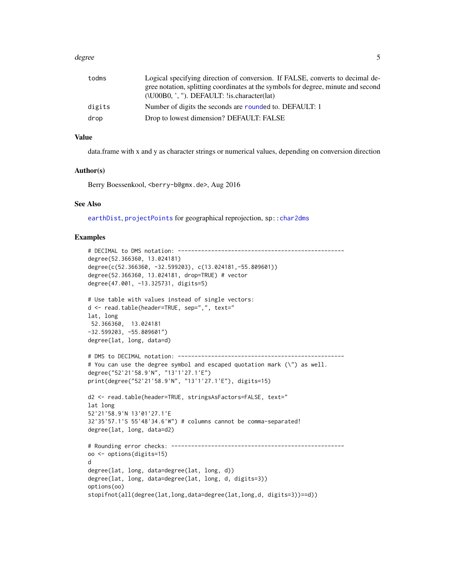#### <span id="page-4-0"></span>degree 55 and 55 and 55 and 55 and 55 and 55 and 55 and 55 and 55 and 55 and 55 and 55 and 55 and 55 and 55 and 55 and 55 and 55 and 55 and 55 and 55 and 55 and 55 and 55 and 55 and 55 and 55 and 55 and 55 and 55 and 55 an

| todms  | Logical specifying direction of conversion. If FALSE, converts to decimal de-<br>gree notation, splitting coordinates at the symbols for degree, minute and second |
|--------|--------------------------------------------------------------------------------------------------------------------------------------------------------------------|
|        | $(NO00B0, ', '')$ . DEFAULT: !is.character(lat)                                                                                                                    |
| digits | Number of digits the seconds are rounded to. DEFAULT: 1                                                                                                            |
| drop   | Drop to lowest dimension? DEFAULT: FALSE                                                                                                                           |

#### Value

data.frame with x and y as character strings or numerical values, depending on conversion direction

## Author(s)

Berry Boessenkool, <berry-b@gmx.de>, Aug 2016

#### See Also

[earthDist](#page-5-1), [projectPoints](#page-10-1) for geographical reprojection, sp:[:char2dms](#page-0-0)

```
# DECIMAL to DMS notation: --------------------------------------------------
degree(52.366360, 13.024181)
degree(c(52.366360, -32.599203), c(13.024181,-55.809601))
degree(52.366360, 13.024181, drop=TRUE) # vector
degree(47.001, -13.325731, digits=5)
# Use table with values instead of single vectors:
d <- read.table(header=TRUE, sep=",", text="
lat, long
52.366360, 13.024181
-32.599203, -55.809601")
degree(lat, long, data=d)
# DMS to DECIMAL notation: --------------------------------------------------
# You can use the degree symbol and escaped quotation mark (\") as well.
degree("52'21'58.9'N", "13'1'27.1'E")
print(degree("52'21'58.9'N", "13'1'27.1'E"), digits=15)
d2 <- read.table(header=TRUE, stringsAsFactors=FALSE, text="
lat long
52'21'58.9'N 13'01'27.1'E
32'35'57.1'S 55'48'34.6'W") # columns cannot be comma-separated!
degree(lat, long, data=d2)
# Rounding error checks: ----------------------------------------------------
oo <- options(digits=15)
d
degree(lat, long, data=degree(lat, long, d))
degree(lat, long, data=degree(lat, long, d, digits=3))
options(oo)
stopifnot(all(degree(lat,long,data=degree(lat,long,d, digits=3))==d))
```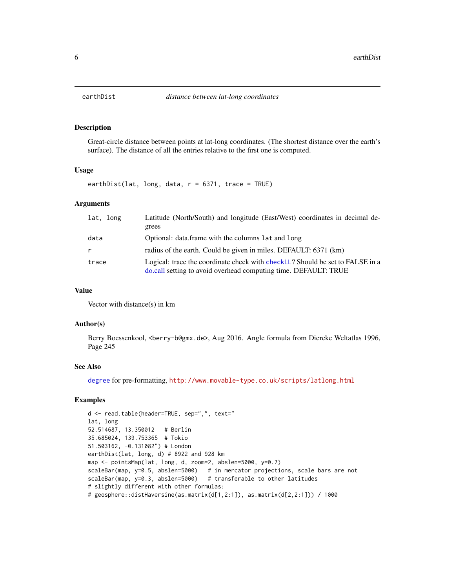#### Description

Great-circle distance between points at lat-long coordinates. (The shortest distance over the earth's surface). The distance of all the entries relative to the first one is computed.

#### Usage

earthDist(lat, long, data,  $r = 6371$ , trace = TRUE)

#### Arguments

| lat, long | Latitude (North/South) and longitude (East/West) coordinates in decimal de-                                                                      |
|-----------|--------------------------------------------------------------------------------------------------------------------------------------------------|
|           | grees                                                                                                                                            |
| data      | Optional: data.frame with the columns lat and long                                                                                               |
|           | radius of the earth. Could be given in miles. DEFAULT: 6371 (km)                                                                                 |
| trace     | Logical: trace the coordinate check with checkLL? Should be set to FALSE in a<br>do.call setting to avoid overhead computing time. DEFAULT: TRUE |

#### Value

Vector with distance(s) in km

#### Author(s)

Berry Boessenkool, <br/>berry-b@gmx.de>, Aug 2016. Angle formula from Diercke Weltatlas 1996, Page 245

## See Also

[degree](#page-3-1) for pre-formatting, <http://www.movable-type.co.uk/scripts/latlong.html>

```
d <- read.table(header=TRUE, sep=",", text="
lat, long
52.514687, 13.350012 # Berlin
35.685024, 139.753365 # Tokio
51.503162, -0.131082") # London
earthDist(lat, long, d) # 8922 and 928 km
map <- pointsMap(lat, long, d, zoom=2, abslen=5000, y=0.7)
scaleBar(map, y=0.5, abslen=5000) # in mercator projections, scale bars are not
scaleBar(map, y=0.3, abslen=5000) # transferable to other latitudes
# slightly different with other formulas:
# geosphere::distHaversine(as.matrix(d[1,2:1]), as.matrix(d[2,2:1])) / 1000
```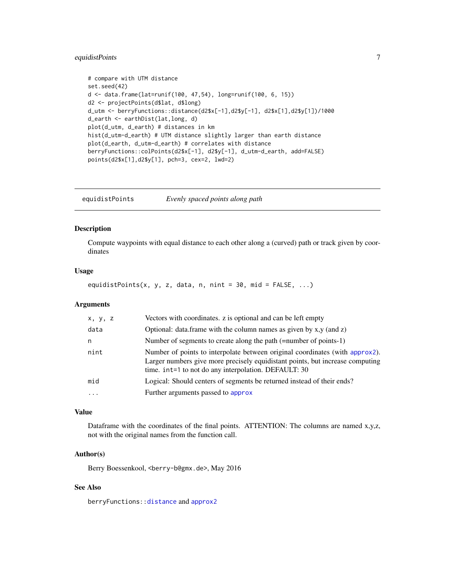## <span id="page-6-0"></span>equidistPoints 7

```
# compare with UTM distance
set.seed(42)
d <- data.frame(lat=runif(100, 47,54), long=runif(100, 6, 15))
d2 <- projectPoints(d$lat, d$long)
d_utm <- berryFunctions::distance(d2$x[-1],d2$y[-1], d2$x[1],d2$y[1])/1000
d_earth <- earthDist(lat,long, d)
plot(d_utm, d_earth) # distances in km
hist(d_utm-d_earth) # UTM distance slightly larger than earth distance
plot(d_earth, d_utm-d_earth) # correlates with distance
berryFunctions::colPoints(d2$x[-1], d2$y[-1], d_utm-d_earth, add=FALSE)
points(d2$x[1],d2$y[1], pch=3, cex=2, lwd=2)
```
equidistPoints *Evenly spaced points along path*

## Description

Compute waypoints with equal distance to each other along a (curved) path or track given by coordinates

#### Usage

equidistPoints(x, y, z, data, n, nint =  $30$ , mid =  $FALSE$ , ...)

#### Arguments

| x, y, z   | Vectors with coordinates. z is optional and can be left empty                                                                                                                                                         |
|-----------|-----------------------------------------------------------------------------------------------------------------------------------------------------------------------------------------------------------------------|
| data      | Optional: data.frame with the column names as given by $x, y$ (and $z$ )                                                                                                                                              |
| n         | Number of segments to create along the path (=number of points-1)                                                                                                                                                     |
| nint      | Number of points to interpolate between original coordinates (with approx2).<br>Larger numbers give more precisely equidistant points, but increase computing<br>time. int=1 to not do any interpolation. DEFAULT: 30 |
| mid       | Logical: Should centers of segments be returned instead of their ends?                                                                                                                                                |
| $\ddotsc$ | Further arguments passed to approx                                                                                                                                                                                    |

#### Value

Dataframe with the coordinates of the final points. ATTENTION: The columns are named x,y,z, not with the original names from the function call.

#### Author(s)

Berry Boessenkool, <berry-b@gmx.de>, May 2016

#### See Also

berryFunctions:[:distance](#page-0-0) and [approx2](#page-0-0)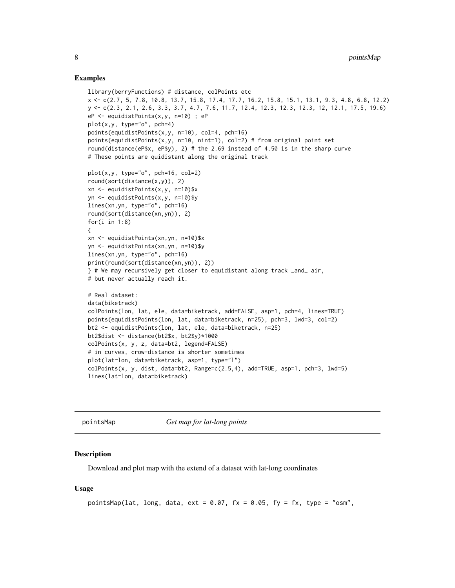#### <span id="page-7-0"></span>Examples

```
library(berryFunctions) # distance, colPoints etc
x <- c(2.7, 5, 7.8, 10.8, 13.7, 15.8, 17.4, 17.7, 16.2, 15.8, 15.1, 13.1, 9.3, 4.8, 6.8, 12.2)
y <- c(2.3, 2.1, 2.6, 3.3, 3.7, 4.7, 7.6, 11.7, 12.4, 12.3, 12.3, 12.3, 12, 12.1, 17.5, 19.6)
eP <- equidistPoints(x,y, n=10) ; eP
plot(x,y, type="o", pch=4)
points(equidistPoints(x,y, n=10), col=4, pch=16)
points(equidistPoints(x,y, n=10, nint=1), col=2) # from original point set
round(distance(eP$x, eP$y), 2) # the 2.69 instead of 4.50 is in the sharp curve
# These points are quidistant along the original track
plot(x,y, type="o", pch=16, col=2)
round(sort(distance(x,y)), 2)
xn <- equidistPoints(x,y, n=10)$x
yn <- equidistPoints(x,y, n=10)$y
lines(xn,yn, type="o", pch=16)
round(sort(distance(xn,yn)), 2)
for(i in 1:8)
{
xn <- equidistPoints(xn,yn, n=10)$x
yn <- equidistPoints(xn,yn, n=10)$y
lines(xn,yn, type="o", pch=16)
print(round(sort(distance(xn,yn)), 2))
} # We may recursively get closer to equidistant along track _and_ air,
# but never actually reach it.
# Real dataset:
data(biketrack)
colPoints(lon, lat, ele, data=biketrack, add=FALSE, asp=1, pch=4, lines=TRUE)
points(equidistPoints(lon, lat, data=biketrack, n=25), pch=3, lwd=3, col=2)
bt2 <- equidistPoints(lon, lat, ele, data=biketrack, n=25)
bt2$dist <- distance(bt2$x, bt2$y)*1000
colPoints(x, y, z, data=bt2, legend=FALSE)
# in curves, crow-distance is shorter sometimes
plot(lat~lon, data=biketrack, asp=1, type="l")
colPoints(x, y, dist, data=bt2, Range=c(2.5,4), add=TRUE, asp=1, pch=3, lwd=5)
lines(lat~lon, data=biketrack)
```
<span id="page-7-1"></span>pointsMap *Get map for lat-long points*

#### Description

Download and plot map with the extend of a dataset with lat-long coordinates

#### Usage

```
pointsMap(lat, long, data, ext = 0.07, fx = 0.05, fy = fx, type = "osm",
```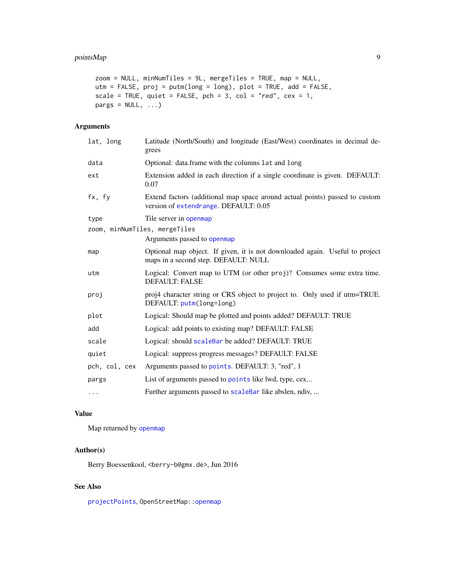## <span id="page-8-0"></span>pointsMap 9

```
zoom = NULL, minNumTiles = 9L, mergeTiles = TRUE, map = NULL,
utm = FALSE, proj = putm(long = long), plot = TRUE, add = FALSE,
scale = TRUE, quiet = FALSE, pch = 3, col = "red", cex = 1,
pargs = NULL, ...
```
## Arguments

| lat, long                     | Latitude (North/South) and longitude (East/West) coordinates in decimal de-<br>grees                                 |
|-------------------------------|----------------------------------------------------------------------------------------------------------------------|
| data                          | Optional: data.frame with the columns lat and long                                                                   |
| ext                           | Extension added in each direction if a single coordinate is given. DEFAULT:<br>0.07                                  |
| fx, fy                        | Extend factors (additional map space around actual points) passed to custom<br>version of extendrange. DEFAULT: 0.05 |
| type                          | Tile server in openmap                                                                                               |
| zoom, minNumTiles, mergeTiles |                                                                                                                      |
|                               | Arguments passed to open map                                                                                         |
| map                           | Optional map object. If given, it is not downloaded again. Useful to project<br>maps in a second step. DEFAULT: NULL |
| utm                           | Logical: Convert map to UTM (or other proj)? Consumes some extra time.<br><b>DEFAULT: FALSE</b>                      |
| proj                          | proj4 character string or CRS object to project to. Only used if utm=TRUE.<br>DEFAULT: putm(long=long)               |
| plot                          | Logical: Should map be plotted and points added? DEFAULT: TRUE                                                       |
| add                           | Logical: add points to existing map? DEFAULT: FALSE                                                                  |
| scale                         | Logical: should scaleBar be added? DEFAULT: TRUE                                                                     |
| quiet                         | Logical: suppress progress messages? DEFAULT: FALSE                                                                  |
| pch, col, cex                 | Arguments passed to points. DEFAULT: 3, "red", 1                                                                     |
| pargs                         | List of arguments passed to points like lwd, type, cex                                                               |
| .                             | Further arguments passed to scaleBar like abslen, ndiv,                                                              |

## Value

Map returned by [openmap](#page-0-0)

#### Author(s)

Berry Boessenkool, <berry-b@gmx.de>, Jun 2016

## See Also

[projectPoints](#page-10-1), OpenStreetMap:[:openmap](#page-0-0)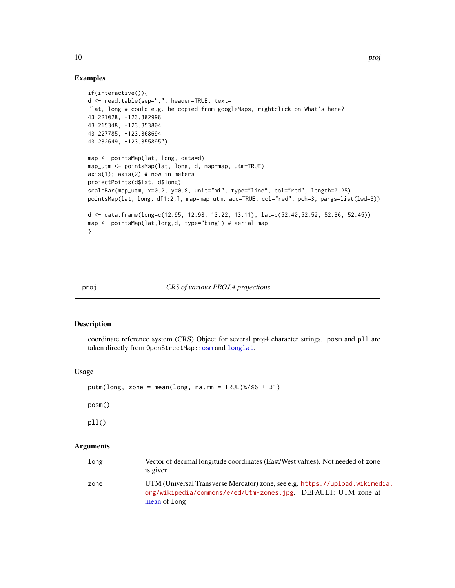#### Examples

```
if(interactive()){
d <- read.table(sep=",", header=TRUE, text=
"lat, long # could e.g. be copied from googleMaps, rightclick on What's here?
43.221028, -123.382998
43.215348, -123.353804
43.227785, -123.368694
43.232649, -123.355895")
map <- pointsMap(lat, long, data=d)
map_utm <- pointsMap(lat, long, d, map=map, utm=TRUE)
axis(1); axis(2) # now in meters
projectPoints(d$lat, d$long)
scaleBar(map_utm, x=0.2, y=0.8, unit="mi", type="line", col="red", length=0.25)
pointsMap(lat, long, d[1:2,], map=map_utm, add=TRUE, col="red", pch=3, pargs=list(lwd=3))
d <- data.frame(long=c(12.95, 12.98, 13.22, 13.11), lat=c(52.40,52.52, 52.36, 52.45))
map <- pointsMap(lat,long,d, type="bing") # aerial map
}
```
#### proj *CRS of various PROJ.4 projections*

#### <span id="page-9-1"></span>Description

coordinate reference system (CRS) Object for several proj4 character strings. posm and pll are taken directly from OpenStreetMap:: osm and [longlat](#page-0-0).

#### Usage

```
putm(long, zone = mean(long, na.rm = TRUE)%/%6 + 31)
```
posm()

pll()

| long | Vector of decimal longitude coordinates (East/West values). Not needed of zone<br>is given.                                                                    |
|------|----------------------------------------------------------------------------------------------------------------------------------------------------------------|
| zone | UTM (Universal Transverse Mercator) zone, see e.g. https://upload.wikimedia.<br>org/wikipedia/commons/e/ed/Utm-zones.jpg. DEFAULT: UTM zone at<br>mean of long |

<span id="page-9-0"></span>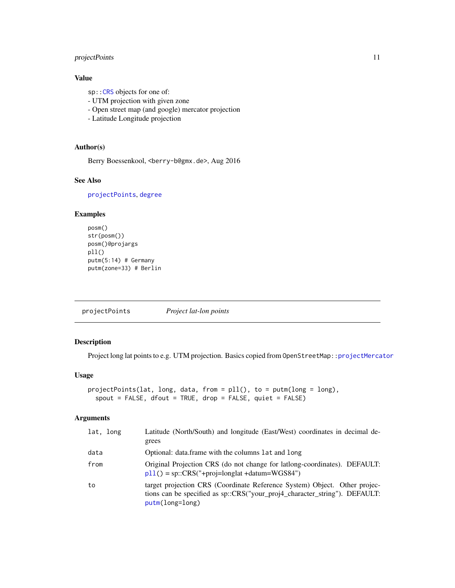## <span id="page-10-0"></span>projectPoints 11

## Value

sp:[:CRS](#page-0-0) objects for one of:

- UTM projection with given zone
- Open street map (and google) mercator projection
- Latitude Longitude projection

## Author(s)

Berry Boessenkool, <berry-b@gmx.de>, Aug 2016

## See Also

[projectPoints](#page-10-1), [degree](#page-3-1)

## Examples

```
posm()
str(posm())
posm()@projargs
pll()
putm(5:14) # Germany
putm(zone=33) # Berlin
```
<span id="page-10-1"></span>projectPoints *Project lat-lon points*

## Description

Project long lat points to e.g. UTM projection. Basics copied from OpenStreetMap:[:projectMercator](#page-0-0)

#### Usage

```
projectPoints(lat, long, data, from = pll(), to = putm(long = long),
  spout = FALSE, dfout = TRUE, drop = FALSE, quiet = FALSE)
```

| lat, long | Latitude (North/South) and longitude (East/West) coordinates in decimal de-<br>grees                                                                                       |
|-----------|----------------------------------------------------------------------------------------------------------------------------------------------------------------------------|
| data      | Optional: data.frame with the columns lat and long                                                                                                                         |
| from      | Original Projection CRS (do not change for lationg-coordinates). DEFAULT:<br>$p11() = sp::CRS("+proj=longlat + datum=WGS84")$                                              |
| to        | target projection CRS (Coordinate Reference System) Object. Other projec-<br>tions can be specified as sp::CRS("your_proj4_character_string"). DEFAULT:<br>putm(long=long) |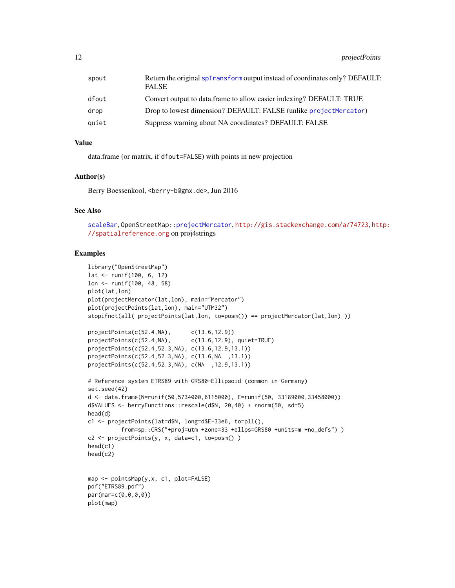<span id="page-11-0"></span>

| spout | Return the original spTransform output instead of coordinates only? DEFAULT:<br><b>FALSE</b> |
|-------|----------------------------------------------------------------------------------------------|
| dfout | Convert output to data.frame to allow easier indexing? DEFAULT: TRUE                         |
| drop  | Drop to lowest dimension? DEFAULT: FALSE (unlike projectMercator)                            |
| quiet | Suppress warning about NA coordinates? DEFAULT: FALSE                                        |

#### Value

data.frame (or matrix, if dfout=FALSE) with points in new projection

## Author(s)

Berry Boessenkool, <berry-b@gmx.de>, Jun 2016

## See Also

[scaleBar](#page-13-1), OpenStreetMap:[:projectMercator](#page-0-0), <http://gis.stackexchange.com/a/74723>, [htt](http://spatialreference.org)p: [//spatialreference.org](http://spatialreference.org) on proj4strings

```
library("OpenStreetMap")
lat <- runif(100, 6, 12)
lon <- runif(100, 48, 58)
plot(lat,lon)
plot(projectMercator(lat,lon), main="Mercator")
plot(projectPoints(lat,lon), main="UTM32")
stopifnot(all( projectPoints(lat,lon, to=posm()) == projectMercator(lat,lon) ))
projectPoints(c(52.4,NA), c(13.6,12.9))
projectPoints(c(52.4,NA), c(13.6,12.9), quiet=TRUE)
projectPoints(c(52.4,52.3,NA), c(13.6,12.9,13.1))
projectPoints(c(52.4,52.3,NA), c(13.6,NA ,13.1))
projectPoints(c(52.4,52.3,NA), c(NA ,12.9,13.1))
# Reference system ETRS89 with GRS80-Ellipsoid (common in Germany)
set.seed(42)
d <- data.frame(N=runif(50,5734000,6115000), E=runif(50, 33189000,33458000))
d$VALUES <- berryFunctions::rescale(d$N, 20,40) + rnorm(50, sd=5)
head(d)
c1 <- projectPoints(lat=d$N, long=d$E-33e6, to=pll(),
          from=sp::CRS("+proj=utm +zone=33 +ellps=GRS80 +units=m +no_defs") )
c2 <- projectPoints(y, x, data=c1, to=posm() )
head(c1)
head(c2)
map <- pointsMap(y,x, c1, plot=FALSE)
pdf("ETRS89.pdf")
par(mar=c(0,0,0,0))
plot(map)
```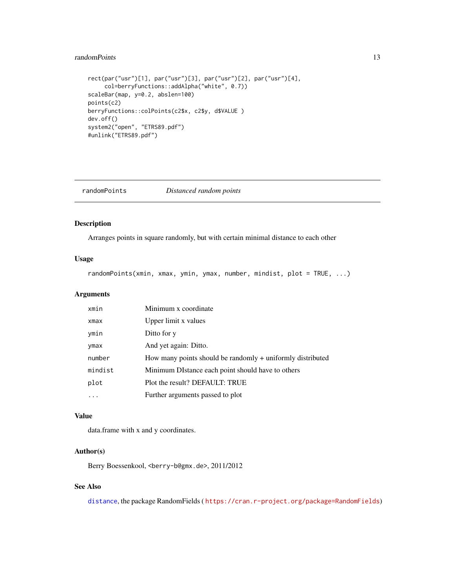## <span id="page-12-0"></span>randomPoints 13

```
rect(par("usr")[1], par("usr")[3], par("usr")[2], par("usr")[4],
     col=berryFunctions::addAlpha("white", 0.7))
scaleBar(map, y=0.2, abslen=100)
points(c2)
berryFunctions::colPoints(c2$x, c2$y, d$VALUE )
dev.off()
system2("open", "ETRS89.pdf")
#unlink("ETRS89.pdf")
```
randomPoints *Distanced random points*

#### Description

Arranges points in square randomly, but with certain minimal distance to each other

#### Usage

randomPoints(xmin, xmax, ymin, ymax, number, mindist, plot = TRUE, ...)

#### Arguments

| xmin    | Minimum x coordinate                                       |
|---------|------------------------------------------------------------|
| xmax    | Upper limit x values                                       |
| ymin    | Ditto for y                                                |
| ymax    | And yet again: Ditto.                                      |
| number  | How many points should be randomly + uniformly distributed |
| mindist | Minimum DIstance each point should have to others          |
| plot    | Plot the result? DEFAULT: TRUE                             |
|         | Further arguments passed to plot                           |

#### Value

data.frame with x and y coordinates.

## Author(s)

Berry Boessenkool, <berry-b@gmx.de>, 2011/2012

## See Also

[distance](#page-0-0), the package RandomFields ( <https://cran.r-project.org/package=RandomFields>)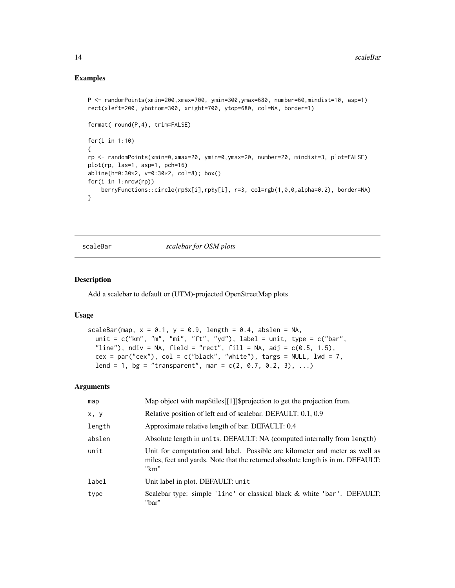### Examples

```
P <- randomPoints(xmin=200,xmax=700, ymin=300,ymax=680, number=60,mindist=10, asp=1)
rect(xleft=200, ybottom=300, xright=700, ytop=680, col=NA, border=1)
format( round(P,4), trim=FALSE)
for(i in 1:10)
{
rp <- randomPoints(xmin=0,xmax=20, ymin=0,ymax=20, number=20, mindist=3, plot=FALSE)
plot(rp, las=1, asp=1, pch=16)
abline(h=0:30*2, v=0:30*2, col=8); box()
for(i in 1:nrow(rp))
   berryFunctions::circle(rp$x[i],rp$y[i], r=3, col=rgb(1,0,0,alpha=0.2), border=NA)
}
```
scaleBar *scalebar for OSM plots*

## Description

Add a scalebar to default or (UTM)-projected OpenStreetMap plots

#### Usage

```
scaleBar(map, x = 0.1, y = 0.9, length = 0.4, abslen = NA,
 unit = c("km", "m", "mi", "ft", "yd"), label = unit, type = <math>c("bar",</math>"line"), ndiv = NA, field = "rect", fill = NA, adj = c(0.5, 1.5),
 cex = par("cex"), col = c("black", "white"), targs = NULL, lwd = 7,
  lend = 1, bg = "transport", mar = c(2, 0.7, 0.2, 3), ...
```

| map    | Map object with map\$tiles[[1]]\$projection to get the projection from.                                                                                                |
|--------|------------------------------------------------------------------------------------------------------------------------------------------------------------------------|
| x, y   | Relative position of left end of scalebar. DEFAULT: 0.1, 0.9                                                                                                           |
| length | Approximate relative length of bar. DEFAULT: 0.4                                                                                                                       |
| abslen | Absolute length in units. DEFAULT: NA (computed internally from length)                                                                                                |
| unit   | Unit for computation and label. Possible are kilometer and meter as well as<br>miles, feet and yards. Note that the returned absolute length is in m. DEFAULT:<br>"km" |
| label  | Unit label in plot. DEFAULT: unit                                                                                                                                      |
| type   | Scalebar type: simple 'line' or classical black & white 'bar'. DEFAULT:<br>"bar"                                                                                       |

<span id="page-13-0"></span>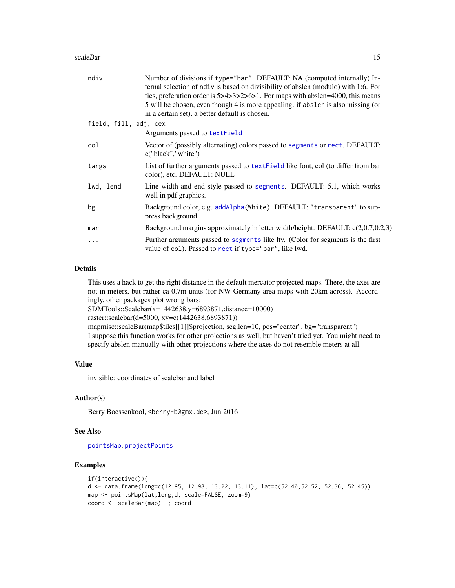#### <span id="page-14-0"></span>scaleBar 15

| ndiv                  | Number of divisions if type="bar". DEFAULT: NA (computed internally) In-<br>ternal selection of ndiv is based on divisibility of abslen (modulo) with 1:6. For<br>ties, preferation order is 5>4>3>2>6>1. For maps with abslen=4000, this means<br>5 will be chosen, even though 4 is more appealing. if abslen is also missing (or<br>in a certain set), a better default is chosen. |
|-----------------------|---------------------------------------------------------------------------------------------------------------------------------------------------------------------------------------------------------------------------------------------------------------------------------------------------------------------------------------------------------------------------------------|
| field, fill, adj, cex | Arguments passed to textField                                                                                                                                                                                                                                                                                                                                                         |
| col                   | Vector of (possibly alternating) colors passed to segments or rect. DEFAULT:<br>c("black","white")                                                                                                                                                                                                                                                                                    |
| targs                 | List of further arguments passed to text Field like font, col (to differ from bar<br>color), etc. DEFAULT: NULL                                                                                                                                                                                                                                                                       |
| lwd, lend             | Line width and end style passed to segments. DEFAULT: 5,1, which works<br>well in pdf graphics.                                                                                                                                                                                                                                                                                       |
| bg                    | Background color, e.g. addAlpha(White). DEFAULT: "transparent" to sup-<br>press background.                                                                                                                                                                                                                                                                                           |
| mar                   | Background margins approximately in letter width/height. DEFAULT: c(2,0.7,0.2,3)                                                                                                                                                                                                                                                                                                      |
| $\ddotsc$             | Further arguments passed to segments like lty. (Color for segments is the first<br>value of col). Passed to rect if type="bar", like lwd.                                                                                                                                                                                                                                             |

#### Details

This uses a hack to get the right distance in the default mercator projected maps. There, the axes are not in meters, but rather ca 0.7m units (for NW Germany area maps with 20km across). Accordingly, other packages plot wrong bars:

SDMTools::Scalebar(x=1442638,y=6893871,distance=10000)

raster::scalebar(d=5000, xy=c(1442638,6893871))

mapmisc::scaleBar(map\$tiles[[1]]\$projection, seg.len=10, pos="center", bg="transparent") I suppose this function works for other projections as well, but haven't tried yet. You might need to specify abslen manually with other projections where the axes do not resemble meters at all.

#### Value

invisible: coordinates of scalebar and label

#### Author(s)

Berry Boessenkool, <berry-b@gmx.de>, Jun 2016

#### See Also

[pointsMap](#page-7-1), [projectPoints](#page-10-1)

```
if(interactive()){
d <- data.frame(long=c(12.95, 12.98, 13.22, 13.11), lat=c(52.40,52.52, 52.36, 52.45))
map <- pointsMap(lat,long,d, scale=FALSE, zoom=9)
coord <- scaleBar(map) ; coord
```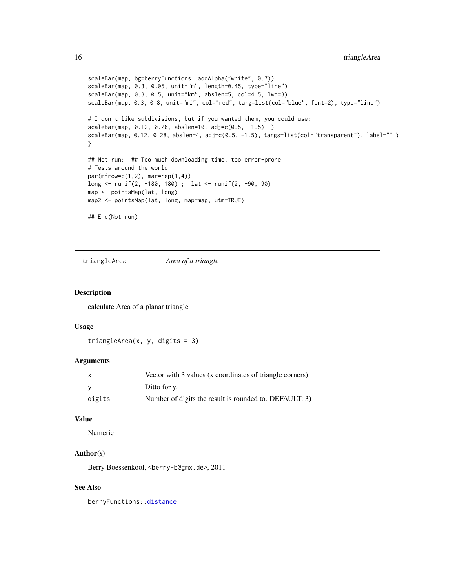```
scaleBar(map, bg=berryFunctions::addAlpha("white", 0.7))
scaleBar(map, 0.3, 0.05, unit="m", length=0.45, type="line")
scaleBar(map, 0.3, 0.5, unit="km", abslen=5, col=4:5, lwd=3)
scaleBar(map, 0.3, 0.8, unit="mi", col="red", targ=list(col="blue", font=2), type="line")
# I don't like subdivisions, but if you wanted them, you could use:
scaleBar(map, 0.12, 0.28, abslen=10, adj=c(0.5, -1.5) )
scaleBar(map, 0.12, 0.28, abslen=4, adj=c(0.5, -1.5), targs=list(col="transparent"), label="" )
}
## Not run: ## Too much downloading time, too error-prone
# Tests around the world
par(mfrow=c(1,2), mar=rep(1,4))long <- runif(2, -180, 180) ; lat <- runif(2, -90, 90)
map <- pointsMap(lat, long)
map2 <- pointsMap(lat, long, map=map, utm=TRUE)
## End(Not run)
```
triangleArea *Area of a triangle*

#### Description

calculate Area of a planar triangle

#### Usage

triangleArea(x, y, digits =  $3$ )

#### **Arguments**

| $\mathsf{x}$ | Vector with 3 values (x coordinates of triangle corners) |
|--------------|----------------------------------------------------------|
| <b>V</b>     | Ditto for y.                                             |
| digits       | Number of digits the result is rounded to. DEFAULT: 3)   |

#### Value

Numeric

## Author(s)

Berry Boessenkool, <berry-b@gmx.de>, 2011

#### See Also

berryFunctions:[:distance](#page-0-0)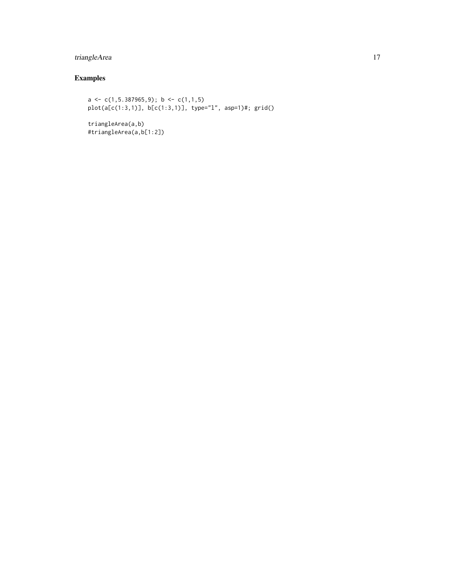## triangleArea 17

## Examples

```
a <- c(1,5.387965,9); b <- c(1,1,5)
plot(a[c(1:3,1)], b[c(1:3,1)], type="l", asp=1)#; grid()
```
triangleArea(a,b) #triangleArea(a,b[1:2])